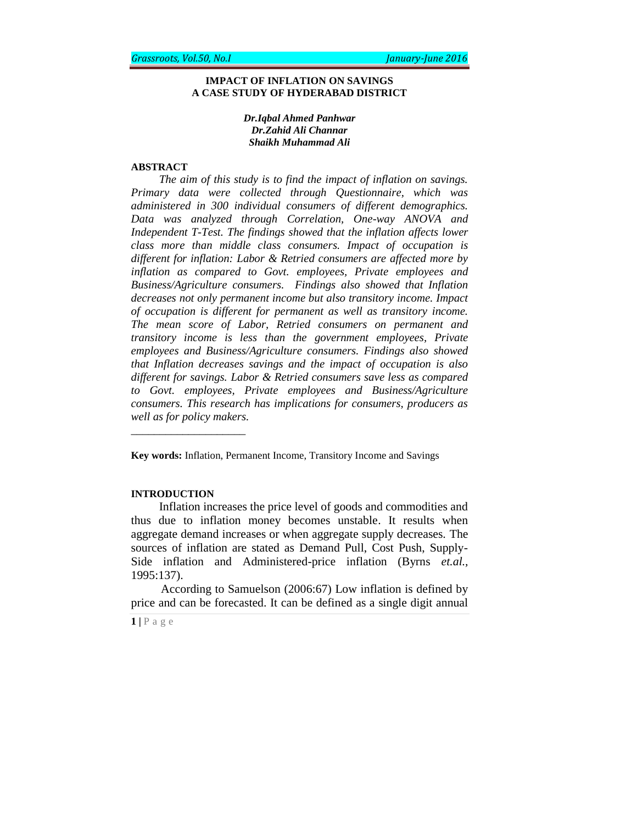### **IMPACT OF INFLATION ON SAVINGS A CASE STUDY OF HYDERABAD DISTRICT**

### *Dr.Iqbal Ahmed Panhwar Dr.Zahid Ali Channar Shaikh Muhammad Ali*

### **ABSTRACT**

*The aim of this study is to find the impact of inflation on savings. Primary data were collected through Questionnaire, which was administered in 300 individual consumers of different demographics. Data was analyzed through Correlation, One-way ANOVA and Independent T-Test. The findings showed that the inflation affects lower class more than middle class consumers. Impact of occupation is different for inflation: Labor & Retried consumers are affected more by inflation as compared to Govt. employees, Private employees and Business/Agriculture consumers. Findings also showed that Inflation decreases not only permanent income but also transitory income. Impact of occupation is different for permanent as well as transitory income. The mean score of Labor, Retried consumers on permanent and transitory income is less than the government employees, Private employees and Business/Agriculture consumers. Findings also showed that Inflation decreases savings and the impact of occupation is also different for savings. Labor & Retried consumers save less as compared to Govt. employees, Private employees and Business/Agriculture consumers. This research has implications for consumers, producers as well as for policy makers.*

**Key words:** Inflation, Permanent Income, Transitory Income and Savings

#### **INTRODUCTION**

\_\_\_\_\_\_\_\_\_\_\_\_\_\_\_\_\_\_\_\_

Inflation increases the price level of goods and commodities and thus due to inflation money becomes unstable. It results when aggregate demand increases or when aggregate supply decreases. The sources of inflation are stated as Demand Pull, Cost Push, Supply-Side inflation and Administered-price inflation (Byrns *et.al.,* 1995:137).

 According to Samuelson (2006:67) Low inflation is defined by price and can be forecasted. It can be defined as a single digit annual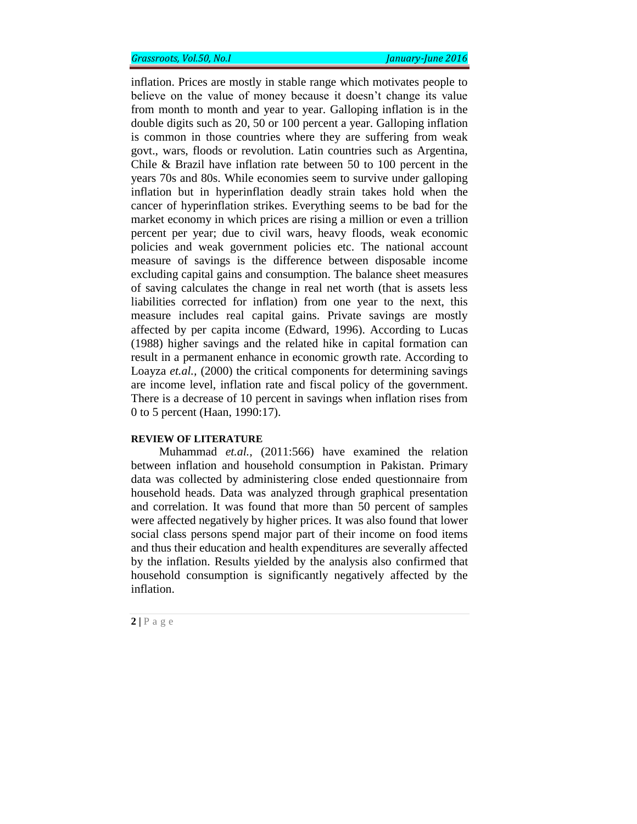## *Grassroots, Vol.50, No.I January-June 2016*

inflation. Prices are mostly in stable range which motivates people to believe on the value of money because it doesn't change its value from month to month and year to year. Galloping inflation is in the double digits such as 20, 50 or 100 percent a year. Galloping inflation is common in those countries where they are suffering from weak govt., wars, floods or revolution. Latin countries such as Argentina, Chile & Brazil have inflation rate between 50 to 100 percent in the years 70s and 80s. While economies seem to survive under galloping inflation but in hyperinflation deadly strain takes hold when the cancer of hyperinflation strikes. Everything seems to be bad for the market economy in which prices are rising a million or even a trillion percent per year; due to civil wars, heavy floods, weak economic policies and weak government policies etc. The national account measure of savings is the difference between disposable income excluding capital gains and consumption. The balance sheet measures of saving calculates the change in real net worth (that is assets less liabilities corrected for inflation) from one year to the next, this measure includes real capital gains. Private savings are mostly affected by per capita income (Edward, 1996). According to Lucas (1988) higher savings and the related hike in capital formation can result in a permanent enhance in economic growth rate. According to Loayza *et.al.,* (2000) the critical components for determining savings are income level, inflation rate and fiscal policy of the government. There is a decrease of 10 percent in savings when inflation rises from 0 to 5 percent (Haan, 1990:17).

#### **REVIEW OF LITERATURE**

Muhammad *et.al.,* (2011:566) have examined the relation between inflation and household consumption in Pakistan. Primary data was collected by administering close ended questionnaire from household heads. Data was analyzed through graphical presentation and correlation. It was found that more than 50 percent of samples were affected negatively by higher prices. It was also found that lower social class persons spend major part of their income on food items and thus their education and health expenditures are severally affected by the inflation. Results yielded by the analysis also confirmed that household consumption is significantly negatively affected by the inflation.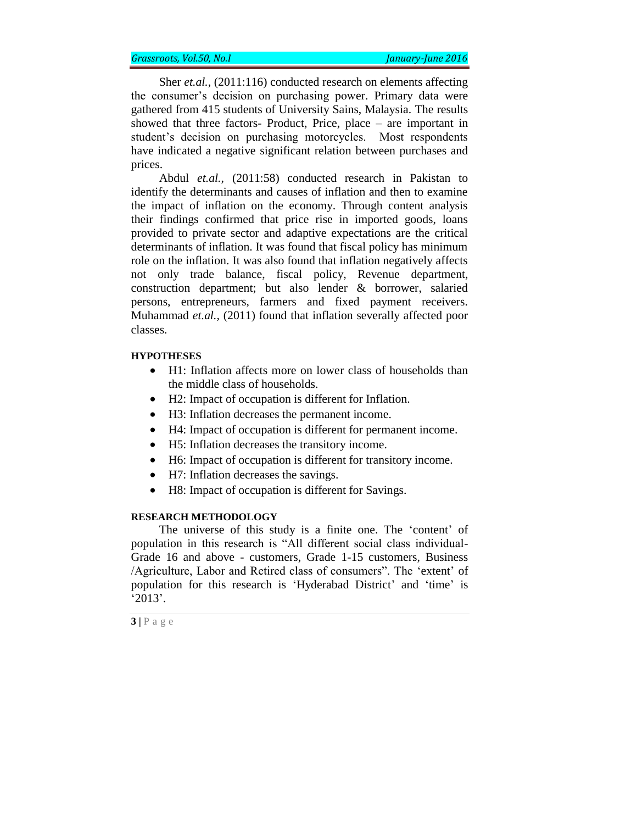Sher *et.al.*, (2011:116) conducted research on elements affecting the consumer's decision on purchasing power. Primary data were gathered from 415 students of University Sains, Malaysia. The results showed that three factors- Product, Price, place – are important in student's decision on purchasing motorcycles. Most respondents have indicated a negative significant relation between purchases and prices.

Abdul *et.al.,* (2011:58) conducted research in Pakistan to identify the determinants and causes of inflation and then to examine the impact of inflation on the economy. Through content analysis their findings confirmed that price rise in imported goods, loans provided to private sector and adaptive expectations are the critical determinants of inflation. It was found that fiscal policy has minimum role on the inflation. It was also found that inflation negatively affects not only trade balance, fiscal policy, Revenue department, construction department; but also lender & borrower, salaried persons, entrepreneurs, farmers and fixed payment receivers. Muhammad *et.al.,* (2011) found that inflation severally affected poor classes.

### **HYPOTHESES**

- H1: Inflation affects more on lower class of households than the middle class of households.
- H2: Impact of occupation is different for Inflation.
- H3: Inflation decreases the permanent income.
- H4: Impact of occupation is different for permanent income.
- H5: Inflation decreases the transitory income.
- H6: Impact of occupation is different for transitory income.
- H7: Inflation decreases the savings.
- H8: Impact of occupation is different for Savings.

#### **RESEARCH METHODOLOGY**

The universe of this study is a finite one. The 'content' of population in this research is "All different social class individual-Grade 16 and above - customers, Grade 1-15 customers, Business /Agriculture, Labor and Retired class of consumers". The 'extent' of population for this research is 'Hyderabad District' and 'time' is '2013'.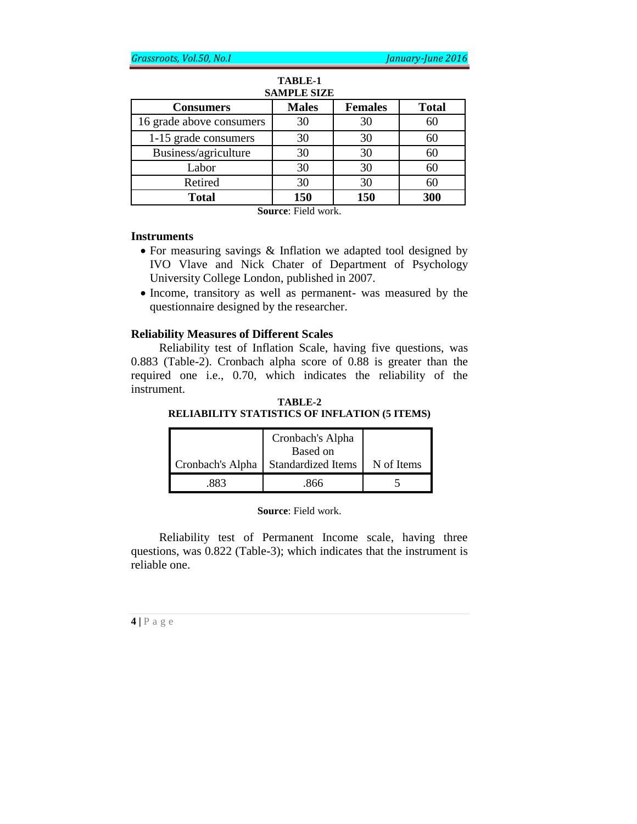| SAMPLE SIZE  |                |              |  |  |  |  |  |
|--------------|----------------|--------------|--|--|--|--|--|
| <b>Males</b> | <b>Females</b> | <b>Total</b> |  |  |  |  |  |
| 30           | 30             | 60           |  |  |  |  |  |
| 30           | 30             | 60           |  |  |  |  |  |
| 30           | 30             | 60           |  |  |  |  |  |
| 30           | 30             | 60           |  |  |  |  |  |
| 30           | 30             | 60           |  |  |  |  |  |
| 150          | 150            | 300          |  |  |  |  |  |
|              |                |              |  |  |  |  |  |

### **TABLE-1 SAMPLE SIZE**

**Source**: Field work.

### **Instruments**

- For measuring savings & Inflation we adapted tool designed by IVO Vlave and Nick Chater of Department of Psychology University College London, published in 2007.
- Income, transitory as well as permanent- was measured by the questionnaire designed by the researcher.

### **Reliability Measures of Different Scales**

Reliability test of Inflation Scale, having five questions, was 0.883 (Table-2). Cronbach alpha score of 0.88 is greater than the required one i.e., 0.70, which indicates the reliability of the instrument.

### **TABLE-2 RELIABILITY STATISTICS OF INFLATION (5 ITEMS)**

|                  | Cronbach's Alpha<br>Based on |            |
|------------------|------------------------------|------------|
| Cronbach's Alpha | <b>Standardized Items</b>    | N of Items |
| २२२              | 866                          |            |

**Source**: Field work.

Reliability test of Permanent Income scale, having three questions, was 0.822 (Table-3); which indicates that the instrument is reliable one.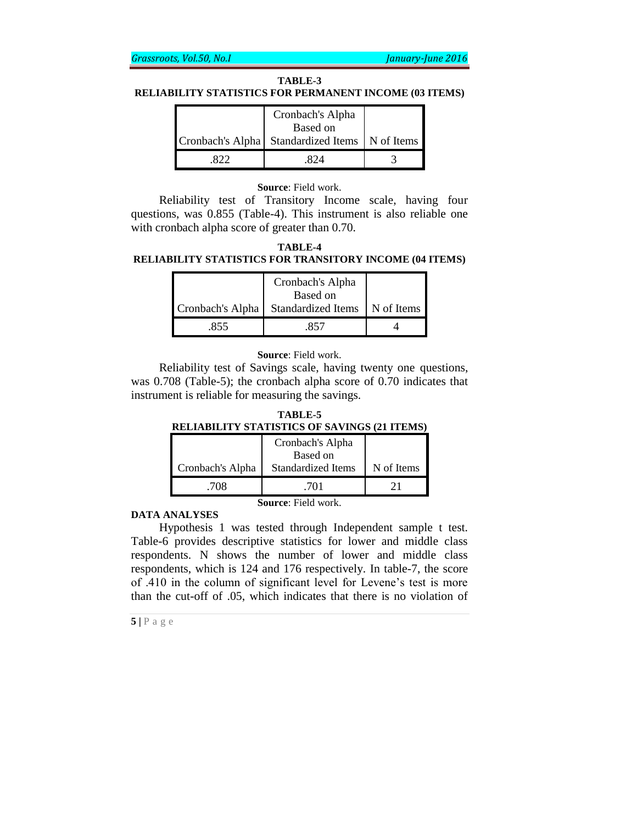### **TABLE-3**

### **RELIABILITY STATISTICS FOR PERMANENT INCOME (03 ITEMS)**

| Cronbach's Alpha<br>Based on                     |  |
|--------------------------------------------------|--|
| Cronbach's Alpha Standardized Items   N of Items |  |
|                                                  |  |

### **Source**: Field work.

Reliability test of Transitory Income scale, having four questions, was 0.855 (Table-4). This instrument is also reliable one with cronbach alpha score of greater than 0.70.

**TABLE-4 RELIABILITY STATISTICS FOR TRANSITORY INCOME (04 ITEMS)**

|     | Cronbach's Alpha                                |            |
|-----|-------------------------------------------------|------------|
|     | Based on<br>Cronbach's Alpha Standardized Items | N of Items |
| 855 | 857                                             |            |

**Source**: Field work.

Reliability test of Savings scale, having twenty one questions, was 0.708 (Table-5); the cronbach alpha score of 0.70 indicates that instrument is reliable for measuring the savings.

| TABLE-5                                             |  |  |  |  |  |  |
|-----------------------------------------------------|--|--|--|--|--|--|
| <b>RELIABILITY STATISTICS OF SAVINGS (21 ITEMS)</b> |  |  |  |  |  |  |

|                            | Cronbach's Alpha<br>Based on |            |  |  |  |
|----------------------------|------------------------------|------------|--|--|--|
| Cronbach's Alpha           | <b>Standardized Items</b>    | N of Items |  |  |  |
| .708                       | 701                          |            |  |  |  |
| <b>Source:</b> Field work. |                              |            |  |  |  |

**DATA ANALYSES**

Hypothesis 1 was tested through Independent sample t test. Table-6 provides descriptive statistics for lower and middle class respondents. N shows the number of lower and middle class respondents, which is 124 and 176 respectively. In table-7, the score of .410 in the column of significant level for Levene's test is more than the cut-off of .05, which indicates that there is no violation of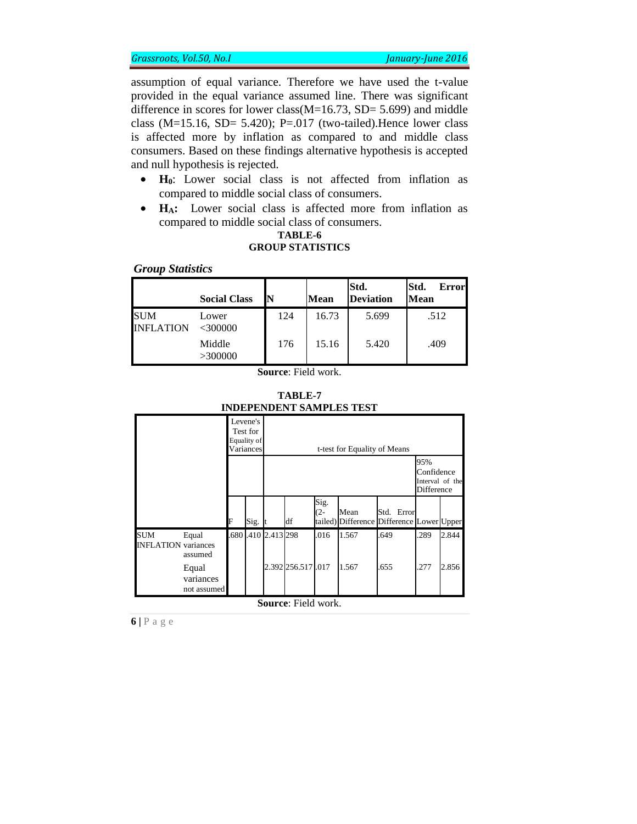assumption of equal variance. Therefore we have used the t-value provided in the equal variance assumed line. There was significant difference in scores for lower class(M=16.73, SD= 5.699) and middle class (M=15.16, SD= 5.420); P=.017 (two-tailed).Hence lower class is affected more by inflation as compared to and middle class consumers. Based on these findings alternative hypothesis is accepted and null hypothesis is rejected.

- **H0**: Lower social class is not affected from inflation as compared to middle social class of consumers.
- **HA:** Lower social class is affected more from inflation as compared to middle social class of consumers.

### **TABLE-6 GROUP STATISTICS**

### *Group Statistics*

|                       | <b>Social Class</b> | N   | Mean  | Std.<br><b>Deviation</b> | Std.<br><b>Error</b><br><b>Mean</b> |
|-----------------------|---------------------|-----|-------|--------------------------|-------------------------------------|
| SUM<br>INFI.<br>ATION | Lower<br><300000    | 124 | 16.73 | 5.699                    | .512                                |
|                       | Middle<br>>300000   | 176 | 15.16 | 5.420                    | .409                                |

**Source**: Field work.

| TABLE-7                  |  |  |  |  |  |  |  |
|--------------------------|--|--|--|--|--|--|--|
| INDEPENDENT SAMPLES TEST |  |  |  |  |  |  |  |

|                                          |                                   |   | Levene's<br>Test for<br>Equality of<br>Variances |                   |                            |               | t-test for Equality of Means |                                                         |                                                    |       |
|------------------------------------------|-----------------------------------|---|--------------------------------------------------|-------------------|----------------------------|---------------|------------------------------|---------------------------------------------------------|----------------------------------------------------|-------|
|                                          |                                   |   |                                                  |                   |                            |               |                              |                                                         | 95%<br>Confidence<br>Interval of the<br>Difference |       |
|                                          |                                   | F | Sig.                                             |                   | df                         | Sig.<br>$(2-$ | Mean                         | Std. Error<br>tailed) Difference Difference Lower Upper |                                                    |       |
| <b>SUM</b><br><b>INFLATION</b> variances | Equal<br>assumed                  |   |                                                  | 680 410 2.413 298 |                            | .016          | 1.567                        | 649                                                     | .289                                               | 2.844 |
|                                          | Equal<br>variances<br>not assumed |   |                                                  |                   | 2.392 256.517 .017         |               | 1.567                        | .655                                                    | .277                                               | 2.856 |
|                                          |                                   |   |                                                  |                   | <b>Source:</b> Field work. |               |                              |                                                         |                                                    |       |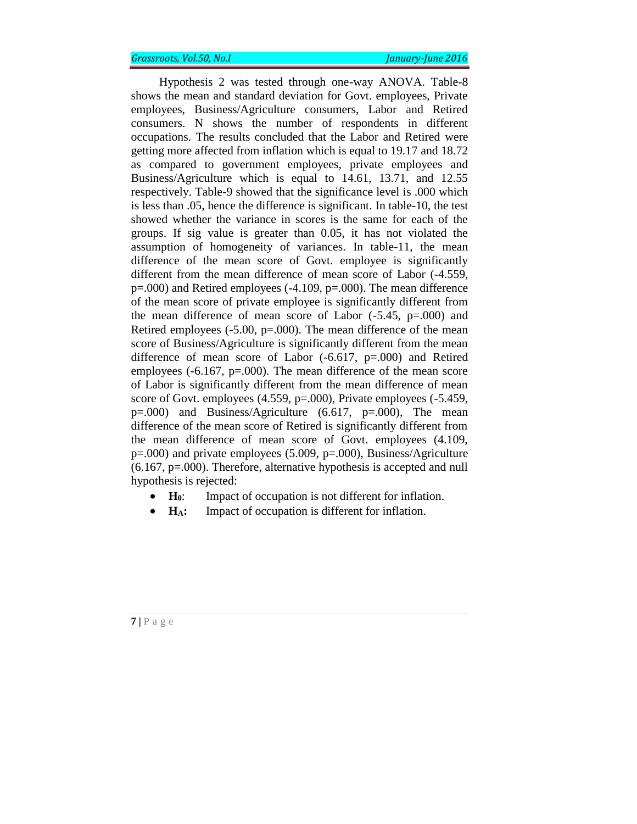Hypothesis 2 was tested through one-way ANOVA. Table-8 shows the mean and standard deviation for Govt. employees, Private employees, Business/Agriculture consumers, Labor and Retired consumers. N shows the number of respondents in different occupations. The results concluded that the Labor and Retired were getting more affected from inflation which is equal to 19.17 and 18.72 as compared to government employees, private employees and Business/Agriculture which is equal to 14.61, 13.71, and 12.55 respectively. Table-9 showed that the significance level is .000 which is less than .05, hence the difference is significant. In table-10, the test showed whether the variance in scores is the same for each of the groups. If sig value is greater than 0.05, it has not violated the assumption of homogeneity of variances. In table-11, the mean difference of the mean score of Govt. employee is significantly different from the mean difference of mean score of Labor (-4.559, p=.000) and Retired employees (-4.109, p=.000). The mean difference of the mean score of private employee is significantly different from the mean difference of mean score of Labor  $(-5.45, p=.000)$  and Retired employees  $(-5.00, p=.000)$ . The mean difference of the mean score of Business/Agriculture is significantly different from the mean difference of mean score of Labor (-6.617, p=.000) and Retired employees (-6.167, p=.000). The mean difference of the mean score of Labor is significantly different from the mean difference of mean score of Govt. employees (4.559, p=.000), Private employees (-5.459, p=.000) and Business/Agriculture (6.617, p=.000), The mean difference of the mean score of Retired is significantly different from the mean difference of mean score of Govt. employees (4.109, p=.000) and private employees (5.009, p=.000), Business/Agriculture  $(6.167, p=.000)$ . Therefore, alternative hypothesis is accepted and null hypothesis is rejected:

- **H0**: Impact of occupation is not different for inflation.
- **H<sub>A</sub>**: Impact of occupation is different for inflation.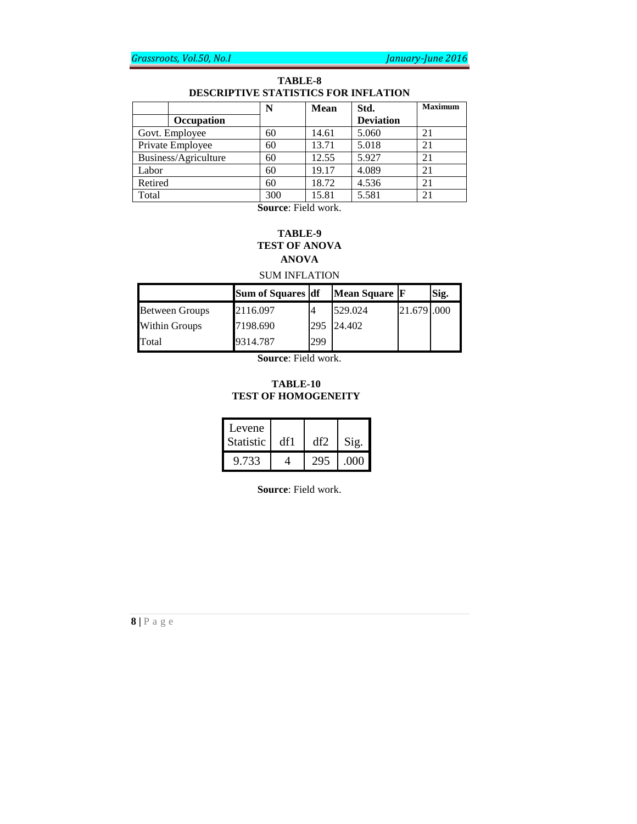### **TABLE-8 DESCRIPTIVE STATISTICS FOR INFLATION**

|                      | N   | <b>Mean</b> | Std.             | <b>Maximum</b> |
|----------------------|-----|-------------|------------------|----------------|
| Occupation           |     |             | <b>Deviation</b> |                |
| Govt. Employee       | 60  | 14.61       | 5.060            | 21             |
| Private Employee     | 60  | 13.71       | 5.018            | 21             |
| Business/Agriculture | 60  | 12.55       | 5.927            | 21             |
| Labor                | 60  | 19.17       | 4.089            | 21             |
| Retired              | 60  | 18.72       | 4.536            | 21             |
| Total                | 300 | 15.81       | 5.581            | 21             |

**Source**: Field work.

# **TABLE-9 TEST OF ANOVA ANOVA**

SUM INFLATION

|                       | Sum of Squares df |     | Mean Square F |             | Sig. |
|-----------------------|-------------------|-----|---------------|-------------|------|
| <b>Between Groups</b> | 2116.097          |     | 529.024       | 21.679 .000 |      |
| <b>Within Groups</b>  | 7198.690          | 295 | 24.402        |             |      |
| Total                 | 9314.787          | 299 |               |             |      |

**Source**: Field work.

### **TABLE-10 TEST OF HOMOGENEITY**

| Levene           |     |               |
|------------------|-----|---------------|
| <b>Statistic</b> | df1 | $\gamma_{ig}$ |
| 9.733            |     |               |

**Source**: Field work.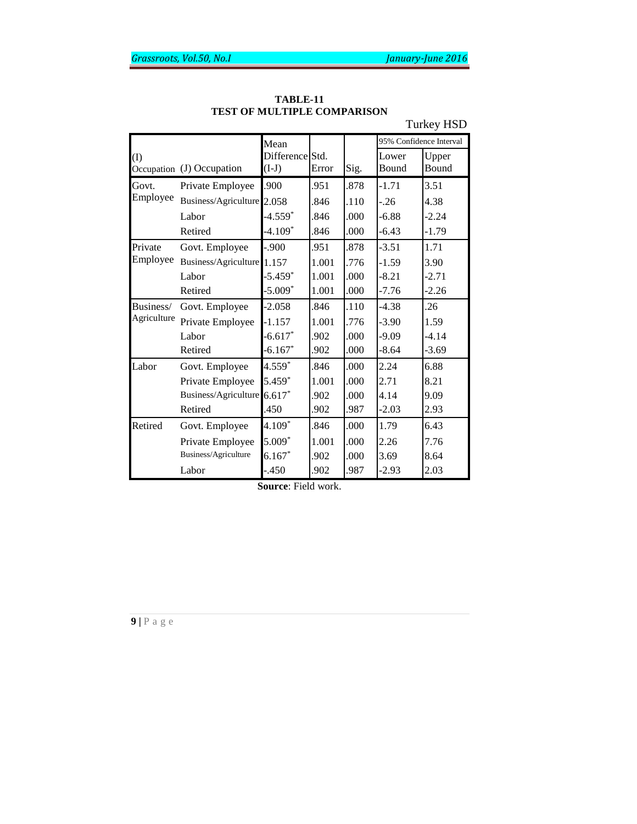Turkey HSD

|             |                             | Mean                       |       |      | 95% Confidence Interval |                |  |
|-------------|-----------------------------|----------------------------|-------|------|-------------------------|----------------|--|
| (1)         | Occupation (J) Occupation   | Difference Std.<br>$(I-J)$ | Error | Sig. | Lower<br>Bound          | Upper<br>Bound |  |
| Govt.       | Private Employee            | .900                       | .951  | .878 | $-1.71$                 | 3.51           |  |
| Employee    | Business/Agriculture 2.058  |                            | .846  | .110 | $-.26$                  | 4.38           |  |
|             | Labor                       | $-4.559*$                  | .846  | .000 | $-6.88$                 | $-2.24$        |  |
|             | Retired                     | $-4.109*$                  | .846  | .000 | $-6.43$                 | $-1.79$        |  |
| Private     | Govt. Employee              | $-.900$                    | .951  | .878 | $-3.51$                 | 1.71           |  |
| Employee    | Business/Agriculture 1.157  |                            | 1.001 | .776 | $-1.59$                 | 3.90           |  |
|             | Labor                       | $-5.459*$                  | 1.001 | .000 | $-8.21$                 | $-2.71$        |  |
|             | Retired                     | $-5.009*$                  | 1.001 | .000 | $-7.76$                 | $-2.26$        |  |
| Business/   | Govt. Employee              | $-2.058$                   | .846  | .110 | $-4.38$                 | .26            |  |
| Agriculture | Private Employee            | $-1.157$                   | 1.001 | .776 | $-3.90$                 | 1.59           |  |
|             | Labor                       | $-6.617*$                  | .902  | .000 | $-9.09$                 | $-4.14$        |  |
|             | Retired                     | $-6.167*$                  | .902  | .000 | $-8.64$                 | $-3.69$        |  |
| Labor       | Govt. Employee              | $4.559*$                   | .846  | .000 | 2.24                    | 6.88           |  |
|             | Private Employee            | 5.459*                     | 1.001 | .000 | 2.71                    | 8.21           |  |
|             | Business/Agriculture 6.617* |                            | .902  | .000 | 4.14                    | 9.09           |  |
|             | Retired                     | .450                       | .902  | .987 | $-2.03$                 | 2.93           |  |
| Retired     | Govt. Employee              | $4.109*$                   | .846  | .000 | 1.79                    | 6.43           |  |
|             | Private Employee            | $5.009*$                   | 1.001 | .000 | 2.26                    | 7.76           |  |
|             | Business/Agriculture        | $6.167*$                   | .902  | .000 | 3.69                    | 8.64           |  |
|             | Labor                       | $-.450$                    | .902  | .987 | $-2.93$                 | 2.03           |  |
|             | <b>Source:</b> Field work.  |                            |       |      |                         |                |  |

**TABLE-11 TEST OF MULTIPLE COMPARISON**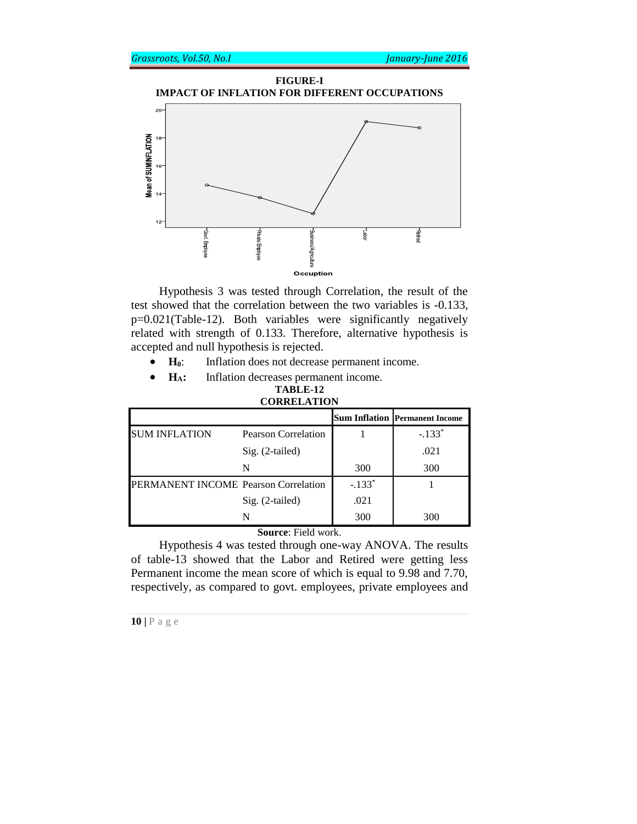



Hypothesis 3 was tested through Correlation, the result of the test showed that the correlation between the two variables is -0.133, p=0.021(Table-12). Both variables were significantly negatively related with strength of 0.133. Therefore, alternative hypothesis is accepted and null hypothesis is rejected.

- **H0**: Inflation does not decrease permanent income.
- **HA:** Inflation decreases permanent income.

#### **TABLE-12 CORRELATION**

|                                      |                            |          | <b>Sum Inflation Permanent Income</b> |
|--------------------------------------|----------------------------|----------|---------------------------------------|
| <b>SUM INFLATION</b>                 | <b>Pearson Correlation</b> |          | $-.133*$                              |
|                                      | Sig. (2-tailed)            |          | .021                                  |
|                                      | N                          | 300      | 300                                   |
| PERMANENT INCOME Pearson Correlation |                            | $-.133*$ |                                       |
|                                      | Sig. (2-tailed)            | .021     |                                       |
|                                      | N                          | 300      | 300                                   |

**Source**: Field work.

Hypothesis 4 was tested through one-way ANOVA. The results of table-13 showed that the Labor and Retired were getting less Permanent income the mean score of which is equal to 9.98 and 7.70, respectively, as compared to govt. employees, private employees and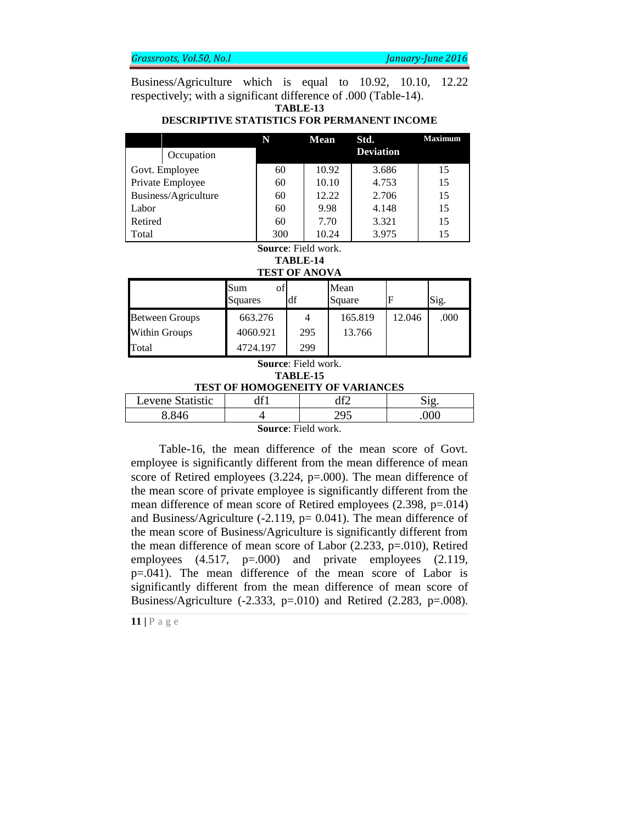Business/Agriculture which is equal to 10.92, 10.10, 12.22 respectively; with a significant difference of .000 (Table-14).

**TABLE-13**

### **DESCRIPTIVE STATISTICS FOR PERMANENT INCOME**

|                      |            | N   | <b>Mean</b> | Std.             | <b>Maximum</b> |
|----------------------|------------|-----|-------------|------------------|----------------|
|                      | Occupation |     |             | <b>Deviation</b> |                |
| Govt. Employee       |            | 60  | 10.92       | 3.686            | 15             |
| Private Employee     |            | 60  | 10.10       | 4.753            | 15             |
| Business/Agriculture |            | 60  | 12.22       | 2.706            | 15             |
| Labor                |            | 60  | 9.98        | 4.148            | 15             |
| Retired              |            | 60  | 7.70        | 3.321            | 15             |
| Total                |            | 300 | 10.24       | 3.975            | 15             |

### **Source**: Field work.

# **TABLE-14**

#### **TEST OF ANOVA**

|                       | Sum<br>of<br>Squares | df  | Mean<br>Square |        | Sig. |
|-----------------------|----------------------|-----|----------------|--------|------|
| <b>Between Groups</b> | 663.276              |     | 165.819        | 12.046 | .000 |
| <b>Within Groups</b>  | 4060.921             | 295 | 13.766         |        |      |
| Total                 | 4724.197             | 299 |                |        |      |

#### **Source**: Field work. **TABLE-15 TEST OF HOMOGENEITY OF VARIANCES**

| atıstıc<br>$L$ evene $V$ | $\mathbf{C}$ | 10 <sup>o</sup> |   |
|--------------------------|--------------|-----------------|---|
| V V 16                   |              |                 | ഥ |

**Source**: Field work.

Table-16, the mean difference of the mean score of Govt. employee is significantly different from the mean difference of mean score of Retired employees (3.224, p=.000). The mean difference of the mean score of private employee is significantly different from the mean difference of mean score of Retired employees (2.398, p=.014) and Business/Agriculture  $(-2.119, p= 0.041)$ . The mean difference of the mean score of Business/Agriculture is significantly different from the mean difference of mean score of Labor (2.233, p=.010), Retired employees (4.517, p=.000) and private employees (2.119, p=.041). The mean difference of the mean score of Labor is significantly different from the mean difference of mean score of Business/Agriculture  $(-2.333, p=0.010)$  and Retired  $(2.283, p=0.008)$ .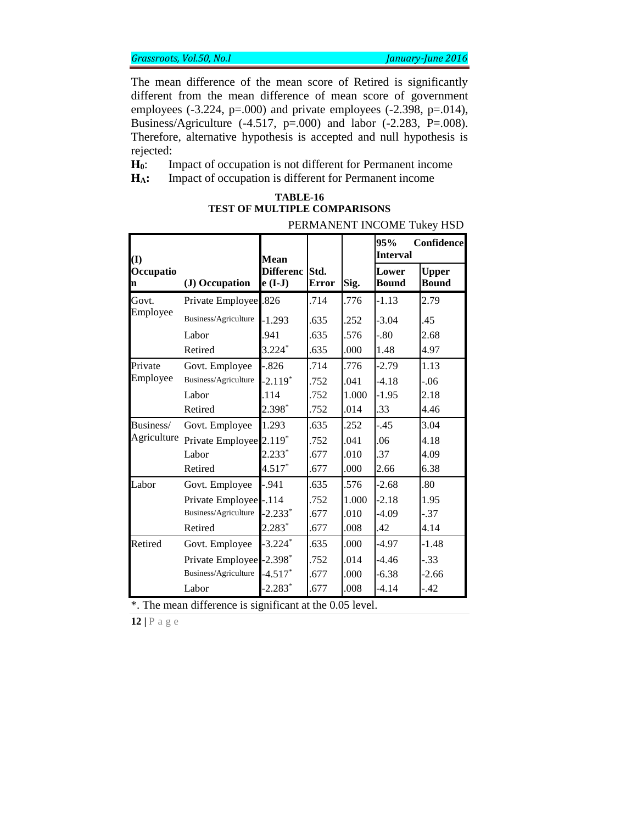The mean difference of the mean score of Retired is significantly different from the mean difference of mean score of government employees (-3.224, p=.000) and private employees (-2.398, p=.014), Business/Agriculture (-4.517,  $p=.000$ ) and labor (-2.283,  $P=.008$ ). Therefore, alternative hypothesis is accepted and null hypothesis is rejected:

**H0**: Impact of occupation is not different for Permanent income **HA:** Impact of occupation is different for Permanent income

| PERMANENT INCOME TUKEY HSD |                         |                               |                      |       |                        |                              |
|----------------------------|-------------------------|-------------------------------|----------------------|-------|------------------------|------------------------------|
| (I)                        |                         | <b>Mean</b>                   |                      |       | 95%<br><b>Interval</b> | Confidence                   |
| Occupatio<br>n             | (J) Occupation          | <b>Differenc</b><br>$e$ (I-J) | Std.<br><b>Error</b> | Sig.  | Lower<br><b>Bound</b>  | <b>Upper</b><br><b>Bound</b> |
| Govt.                      | Private Employee .826   |                               | .714                 | .776  | $-1.13$                | 2.79                         |
| Employee                   | Business/Agriculture    | $-1.293$                      | .635                 | .252  | $-3.04$                | .45                          |
|                            | Labor                   | .941                          | .635                 | .576  | $-.80$                 | 2.68                         |
|                            | Retired                 | $3.224*$                      | .635                 | .000  | 1.48                   | 4.97                         |
| Private                    | Govt. Employee          | $-.826$                       | .714                 | .776  | $-2.79$                | 1.13                         |
| Employee                   | Business/Agriculture    | $-2.119*$                     | .752                 | .041  | $-4.18$                | $-.06$                       |
|                            | Labor                   | .114                          | .752                 | 1.000 | $-1.95$                | 2.18                         |
|                            | Retired                 | 2.398*                        | .752                 | .014  | .33                    | 4.46                         |
| Business/                  | Govt. Employee          | 1.293                         | .635                 | .252  | $-.45$                 | 3.04                         |
| Agriculture                | Private Employee 2.119* |                               | .752                 | .041  | .06                    | 4.18                         |
|                            | Labor                   | $2.233*$                      | .677                 | .010  | .37                    | 4.09                         |
|                            | Retired                 | $4.517*$                      | .677                 | .000  | 2.66                   | 6.38                         |
| Labor                      | Govt. Employee          | $-.941$                       | .635                 | .576  | $-2.68$                | .80                          |
|                            | Private Employee -.114  |                               | .752                 | 1.000 | $-2.18$                | 1.95                         |
|                            | Business/Agriculture    | $-2.233*$                     | .677                 | .010  | $-4.09$                | $-.37$                       |
|                            | Retired                 | $2.283*$                      | .677                 | .008  | .42                    | 4.14                         |
| Retired                    | Govt. Employee          | $-3.224*$                     | .635                 | .000  | -4.97                  | $-1.48$                      |
|                            | Private Employee        | $-2.398*$                     | .752                 | .014  | $-4.46$                | $-.33$                       |
|                            | Business/Agriculture    | $-4.517*$                     | .677                 | .000  | $-6.38$                | $-2.66$                      |
|                            | Labor                   | $-2.283*$                     | .677                 | .008  | -4.14                  | $-.42$                       |

| TABLE-16                            |      |
|-------------------------------------|------|
| <b>TEST OF MULTIPLE COMPARISONS</b> |      |
| PPMI                                | TTAT |

\*. The mean difference is significant at the 0.05 level.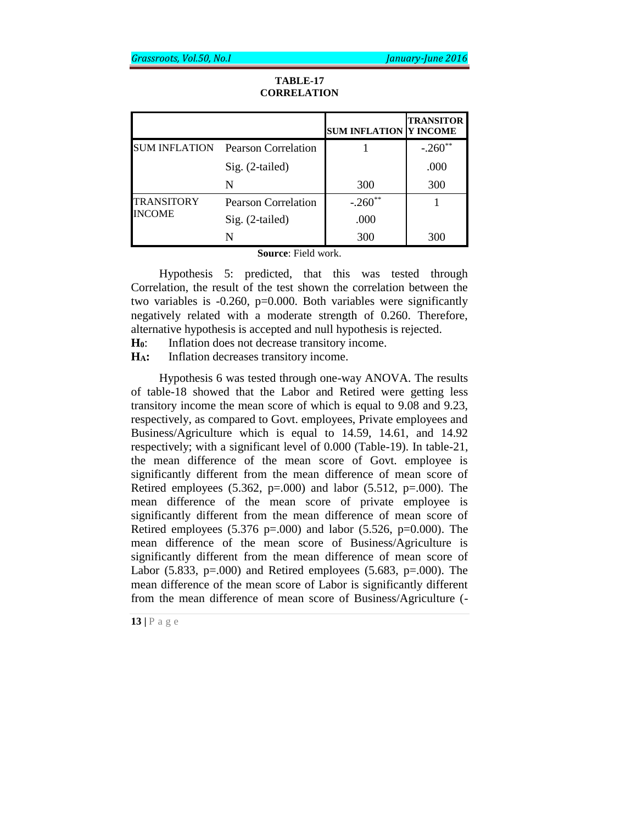|                      |                     | <b>SUM INFLATION Y INCOME</b> | <b>TRANSITOR</b> |
|----------------------|---------------------|-------------------------------|------------------|
| <b>SUM INFLATION</b> | Pearson Correlation |                               | $-.260**$        |
|                      | Sig. (2-tailed)     |                               | .000             |
|                      | N                   | 300                           | 300              |
| <b>TRANSITORY</b>    | Pearson Correlation | $-.260**$                     |                  |
| <b>INCOME</b>        | Sig. (2-tailed)     | .000                          |                  |
|                      | N                   | 300                           | 300              |

## **TABLE-17 CORRELATION**

**Source**: Field work.

Hypothesis 5: predicted, that this was tested through Correlation, the result of the test shown the correlation between the two variables is -0.260, p=0.000. Both variables were significantly negatively related with a moderate strength of 0.260. Therefore, alternative hypothesis is accepted and null hypothesis is rejected.

**H0**: Inflation does not decrease transitory income.

**HA:** Inflation decreases transitory income.

Hypothesis 6 was tested through one-way ANOVA. The results of table-18 showed that the Labor and Retired were getting less transitory income the mean score of which is equal to 9.08 and 9.23, respectively, as compared to Govt. employees, Private employees and Business/Agriculture which is equal to 14.59, 14.61, and 14.92 respectively; with a significant level of 0.000 (Table-19). In table-21, the mean difference of the mean score of Govt. employee is significantly different from the mean difference of mean score of Retired employees  $(5.362, p=.000)$  and labor  $(5.512, p=.000)$ . The mean difference of the mean score of private employee is significantly different from the mean difference of mean score of Retired employees  $(5.376 \text{ p} = 0.000)$  and labor  $(5.526, \text{ p} = 0.000)$ . The mean difference of the mean score of Business/Agriculture is significantly different from the mean difference of mean score of Labor (5.833, p=.000) and Retired employees (5.683, p=.000). The mean difference of the mean score of Labor is significantly different from the mean difference of mean score of Business/Agriculture (-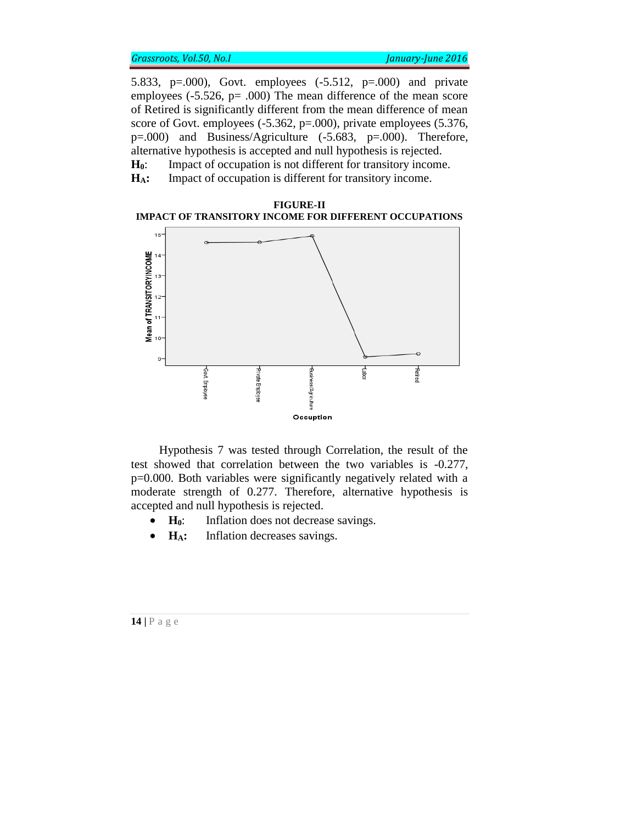5.833, p=.000), Govt. employees (-5.512, p=.000) and private employees (-5.526, p= .000) The mean difference of the mean score of Retired is significantly different from the mean difference of mean score of Govt. employees (-5.362, p=.000), private employees (5.376, p=.000) and Business/Agriculture (-5.683, p=.000). Therefore, alternative hypothesis is accepted and null hypothesis is rejected. **H0**: Impact of occupation is not different for transitory income.

**HA:** Impact of occupation is different for transitory income.





Hypothesis 7 was tested through Correlation, the result of the test showed that correlation between the two variables is -0.277, p=0.000. Both variables were significantly negatively related with a moderate strength of 0.277. Therefore, alternative hypothesis is accepted and null hypothesis is rejected.

- **H**<sub>0</sub>: Inflation does not decrease savings.
- **H<sub>A</sub>**: Inflation decreases savings.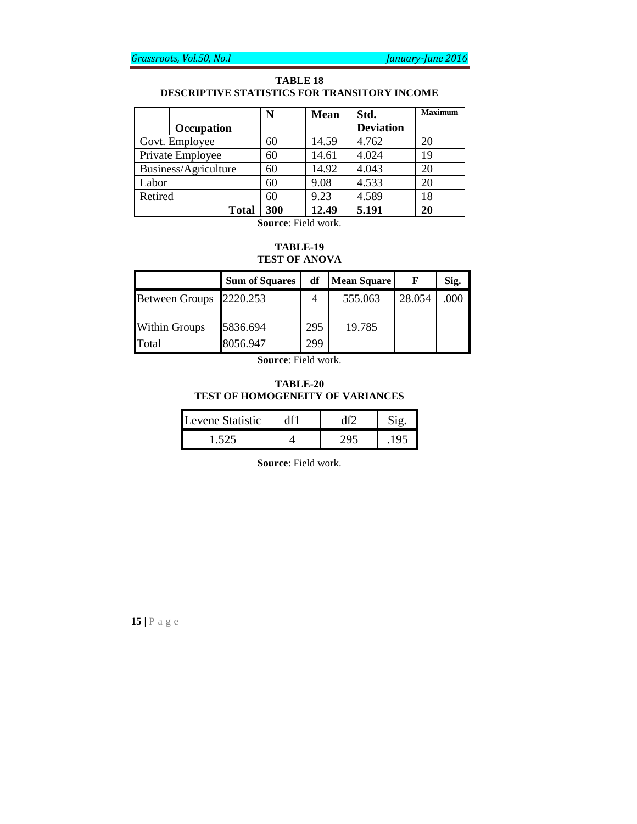### **TABLE 18 DESCRIPTIVE STATISTICS FOR TRANSITORY INCOME**

|                      | N   | <b>Mean</b> | Std.             | <b>Maximum</b> |
|----------------------|-----|-------------|------------------|----------------|
| Occupation           |     |             | <b>Deviation</b> |                |
| Govt. Employee       | 60  | 14.59       | 4.762            | 20             |
| Private Employee     | 60  | 14.61       | 4.024            | 19             |
| Business/Agriculture | 60  | 14.92       | 4.043            | 20             |
| Labor                | 60  | 9.08        | 4.533            | 20             |
| Retired              | 60  | 9.23        | 4.589            | 18             |
| <b>Total</b>         | 300 | 12.49       | 5.191            | 20             |

**Source**: Field work.

# **TABLE-19 TEST OF ANOVA**

|                       | <b>Sum of Squares</b> | df  | Mean Square |        | Sig. |
|-----------------------|-----------------------|-----|-------------|--------|------|
| <b>Between Groups</b> | 2220.253              | 4   | 555.063     | 28.054 | .000 |
| <b>Within Groups</b>  | 5836.694              | 295 | 19.785      |        |      |
| Total                 | 8056.947              | 299 |             |        |      |

**Source**: Field work.

### **TABLE-20 TEST OF HOMOGENEITY OF VARIANCES**

| Levene Statistic |  |  |
|------------------|--|--|
|                  |  |  |

**Source**: Field work.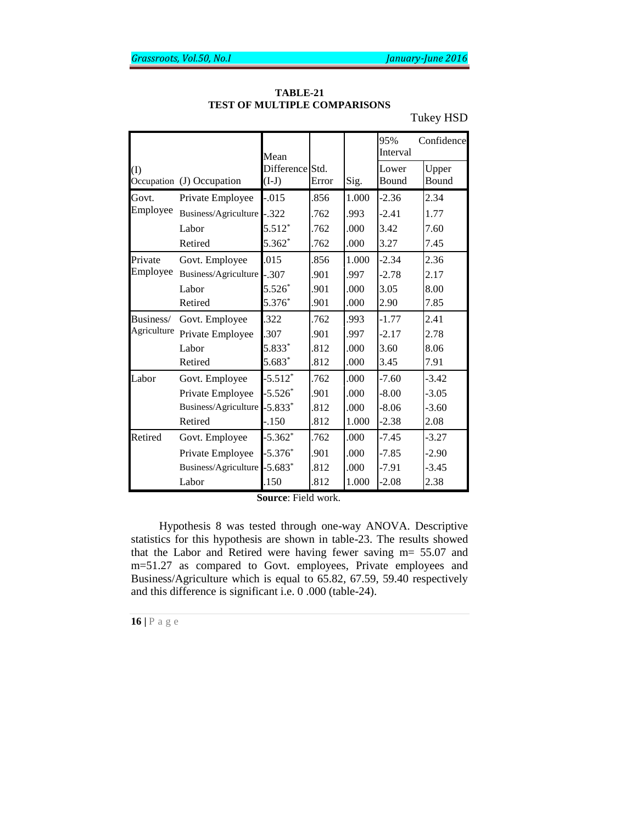|             |                            | Mean                       |       |       | 95%<br>Interval | Confidence     |
|-------------|----------------------------|----------------------------|-------|-------|-----------------|----------------|
| $\rm(I)$    | Occupation (J) Occupation  | Difference Std.<br>$(I-J)$ | Error | Sig.  | Lower<br>Bound  | Upper<br>Bound |
| Govt.       | Private Employee           | $-0.015$                   | .856  | 1.000 | $-2.36$         | 2.34           |
| Employee    | Business/Agriculture       | $-.322$                    | .762  | .993  | $-2.41$         | 1.77           |
|             | Labor                      | $5.512*$                   | .762  | .000  | 3.42            | 7.60           |
|             | Retired                    | 5.362*                     | .762  | .000  | 3.27            | 7.45           |
| Private     | Govt. Employee             | .015                       | .856  | 1.000 | $-2.34$         | 2.36           |
| Employee    | Business/Agriculture -.307 |                            | .901  | .997  | $-2.78$         | 2.17           |
|             | Labor                      | $5.526*$                   | .901  | .000  | 3.05            | 8.00           |
|             | Retired                    | 5.376*                     | .901  | .000  | 2.90            | 7.85           |
| Business/   | Govt. Employee             | .322                       | .762  | .993  | $-1.77$         | 2.41           |
| Agriculture | Private Employee           | .307                       | .901  | .997  | $-2.17$         | 2.78           |
|             | Labor                      | 5.833*                     | .812  | .000  | 3.60            | 8.06           |
|             | Retired                    | 5.683*                     | .812  | .000  | 3.45            | 7.91           |
| Labor       | Govt. Employee             | $-5.512*$                  | .762  | .000  | $-7.60$         | $-3.42$        |
|             | Private Employee           | $-5.526*$                  | .901  | .000  | $-8.00$         | $-3.05$        |
|             | Business/Agriculture       | $-5.833*$                  | .812  | .000  | $-8.06$         | $-3.60$        |
|             | Retired                    | $-150$                     | .812  | 1.000 | $-2.38$         | 2.08           |
| Retired     | Govt. Employee             | $-5.362*$                  | .762  | .000  | $-7.45$         | $-3.27$        |
|             | Private Employee           | $-5.376*$                  | .901  | .000  | $-7.85$         | $-2.90$        |
|             | Business/Agriculture       | $-5.683*$                  | .812  | .000  | $-7.91$         | $-3.45$        |
|             | Labor                      | .150                       | .812  | 1.000 | $-2.08$         | 2.38           |

**TABLE-21 TEST OF MULTIPLE COMPARISONS**

Tukey HSD

**Source**: Field work.

Hypothesis 8 was tested through one-way ANOVA. Descriptive statistics for this hypothesis are shown in table-23. The results showed that the Labor and Retired were having fewer saving m= 55.07 and m=51.27 as compared to Govt. employees, Private employees and Business/Agriculture which is equal to 65.82, 67.59, 59.40 respectively and this difference is significant i.e. 0 .000 (table-24).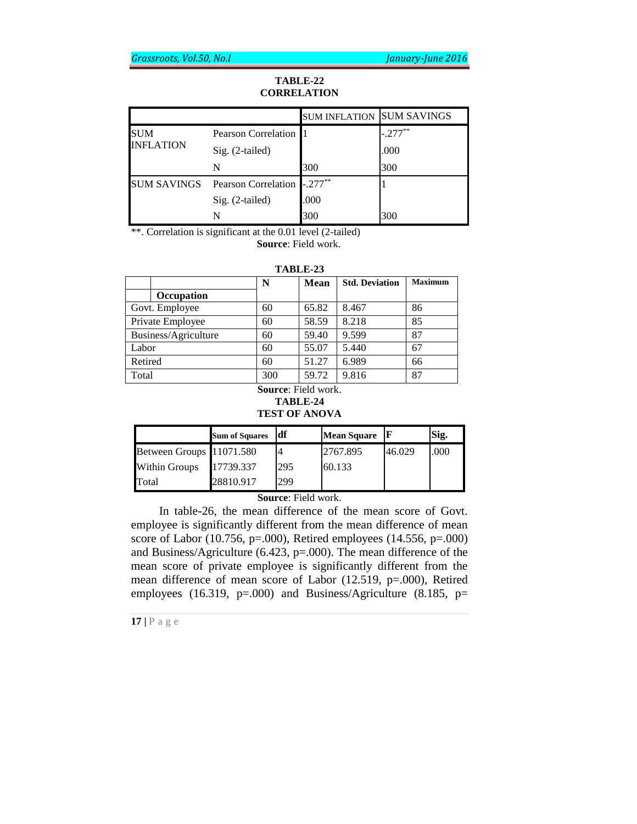# **TABLE-22 CORRELATION**

|                                |                            | <b>SUM INFLATION SUM SAVINGS</b> |           |
|--------------------------------|----------------------------|----------------------------------|-----------|
| <b>SUM</b><br><b>INFLATION</b> | <b>Pearson Correlation</b> |                                  | $-.277**$ |
|                                | Sig. (2-tailed)            |                                  | .000      |
|                                | N                          | 300                              | 300       |
| <b>SUM SAVINGS</b>             | Pearson Correlation        | $-.277**$                        |           |
|                                | Sig. (2-tailed)            | .000                             |           |
|                                |                            | 300                              | 300       |

\*\*. Correlation is significant at the 0.01 level (2-tailed)

**Source**: Field work.

| TABLE-23 |  |      |    |  |  |
|----------|--|------|----|--|--|
|          |  | Mean | Sı |  |  |

|                      | N   | <b>Mean</b> | <b>Std. Deviation</b> | <b>Maximum</b> |
|----------------------|-----|-------------|-----------------------|----------------|
| Occupation           |     |             |                       |                |
| Govt. Employee       | 60  | 65.82       | 8.467                 | 86             |
| Private Employee     | 60  | 58.59       | 8.218                 | 85             |
| Business/Agriculture | 60  | 59.40       | 9.599                 | 87             |
| Labor                | 60  | 55.07       | 5.440                 | 67             |
| Retired              | 60  | 51.27       | 6.989                 | 66             |
| Total                | 300 | 59.72       | 9.816                 | 87             |

## **Source**: Field work. **TABLE-24 TEST OF ANOVA**

|                          | <b>Sum of Squares</b> | ıdf | <b>Mean Square</b> |        | Sig. |
|--------------------------|-----------------------|-----|--------------------|--------|------|
| Between Groups 11071.580 |                       |     | 2767.895           | 46.029 | .000 |
| <b>Within Groups</b>     | 17739.337             | 295 | 60.133             |        |      |
| Total                    | 28810.917             | 299 |                    |        |      |

**Source**: Field work.

In table-26, the mean difference of the mean score of Govt. employee is significantly different from the mean difference of mean score of Labor (10.756, p=.000), Retired employees (14.556, p=.000) and Business/Agriculture (6.423, p=.000). The mean difference of the mean score of private employee is significantly different from the mean difference of mean score of Labor (12.519, p=.000), Retired employees (16.319, p=.000) and Business/Agriculture (8.185, p=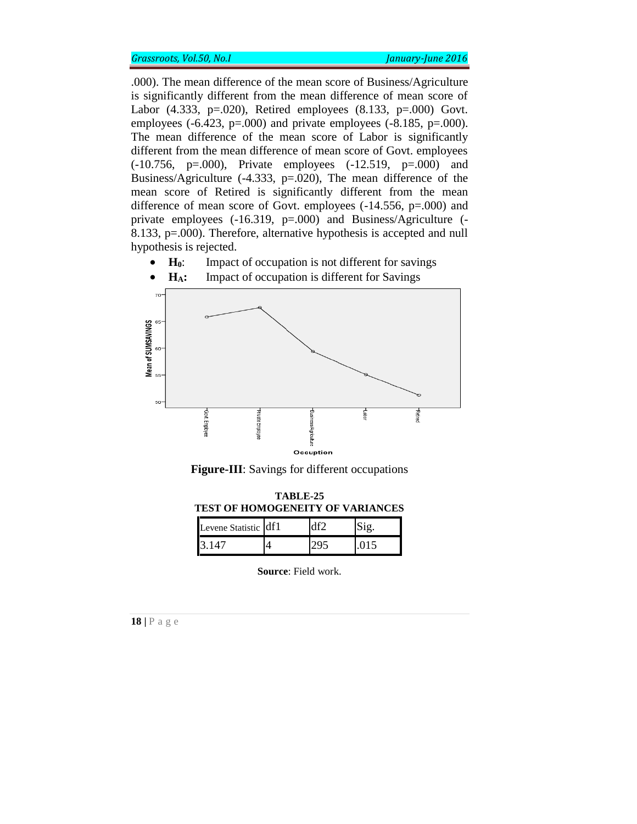.000). The mean difference of the mean score of Business/Agriculture is significantly different from the mean difference of mean score of Labor (4.333, p=.020), Retired employees (8.133, p=.000) Govt. employees  $(-6.423, p=.000)$  and private employees  $(-8.185, p=.000)$ . The mean difference of the mean score of Labor is significantly different from the mean difference of mean score of Govt. employees (-10.756, p=.000), Private employees (-12.519, p=.000) and Business/Agriculture (-4.333, p=.020), The mean difference of the mean score of Retired is significantly different from the mean difference of mean score of Govt. employees (-14.556, p=.000) and private employees (-16.319, p=.000) and Business/Agriculture (- 8.133, p=.000). Therefore, alternative hypothesis is accepted and null hypothesis is rejected.

• **H**<sub>0</sub>: Impact of occupation is not different for savings



• **H<sub>A</sub>**: Impact of occupation is different for Savings

**Figure-III**: Savings for different occupations

| <b>TABLE-25</b><br>TEST OF HOMOGENEITY OF VARIANCES |  |     |      |  |  |
|-----------------------------------------------------|--|-----|------|--|--|
| Levene Statistic df1                                |  | ብfን |      |  |  |
| I3 147                                              |  |     | .015 |  |  |

**Source**: Field work.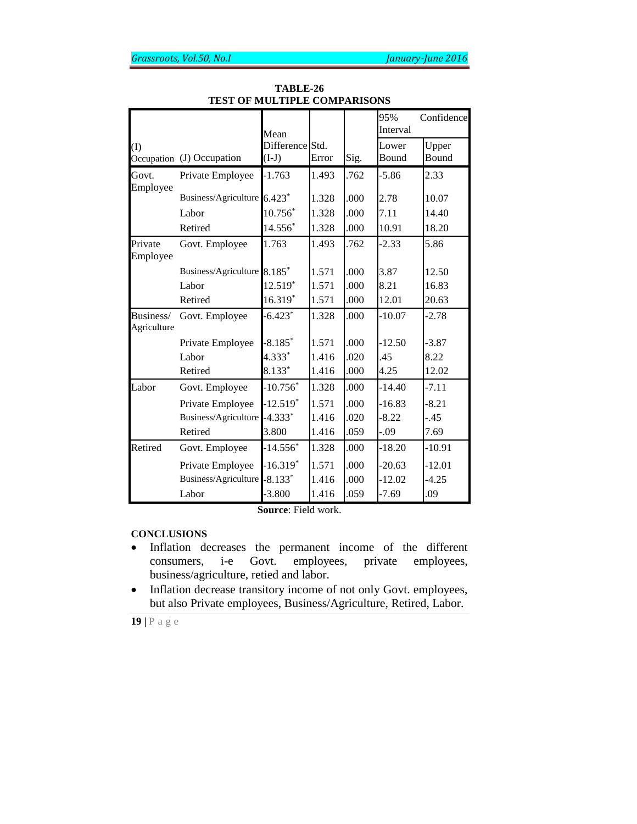|                          |                             | Mean            |       |      | 95%<br>Interval | Confidence |
|--------------------------|-----------------------------|-----------------|-------|------|-----------------|------------|
| (1)                      |                             | Difference Std. |       |      | Lower           | Upper      |
|                          | Occupation (J) Occupation   | $(I-J)$         | Error | Sig. | Bound           | Bound      |
| Govt.<br>Employee        | Private Employee            | $-1.763$        | 1.493 | .762 | $-5.86$         | 2.33       |
|                          | Business/Agriculture 6.423* |                 | 1.328 | .000 | 2.78            | 10.07      |
|                          | Labor                       | 10.756*         | 1.328 | .000 | 7.11            | 14.40      |
|                          | Retired                     | 14.556*         | 1.328 | .000 | 10.91           | 18.20      |
| Private<br>Employee      | Govt. Employee              | 1.763           | 1.493 | .762 | $-2.33$         | 5.86       |
|                          | Business/Agriculture 8.185* |                 | 1.571 | .000 | 3.87            | 12.50      |
|                          | Labor                       | $12.519*$       | 1.571 | .000 | 8.21            | 16.83      |
|                          | Retired                     | 16.319*         | 1.571 | .000 | 12.01           | 20.63      |
| Business/<br>Agriculture | Govt. Employee              | $-6.423*$       | 1.328 | .000 | $-10.07$        | $-2.78$    |
|                          | Private Employee            | $-8.185*$       | 1.571 | .000 | $-12.50$        | $-3.87$    |
|                          | Labor                       | 4.333*          | 1.416 | .020 | .45             | 8.22       |
|                          | Retired                     | 8.133*          | 1.416 | .000 | 4.25            | 12.02      |
| Labor                    | Govt. Employee              | $-10.756*$      | 1.328 | .000 | $-14.40$        | $-7.11$    |
|                          | Private Employee            | $-12.519*$      | 1.571 | .000 | $-16.83$        | $-8.21$    |
|                          | Business/Agriculture        | $-4.333*$       | 1.416 | .020 | $-8.22$         | $-.45$     |
|                          | Retired                     | 3.800           | 1.416 | .059 | -.09            | 7.69       |
| Retired                  | Govt. Employee              | $-14.556*$      | 1.328 | .000 | $-18.20$        | $-10.91$   |
|                          | Private Employee            | $-16.319*$      | 1.571 | .000 | $-20.63$        | $-12.01$   |
|                          | Business/Agriculture        | $-8.133*$       | 1.416 | .000 | $-12.02$        | $-4.25$    |
|                          | Labor                       | $-3.800$        | 1.416 | .059 | $-7.69$         | .09        |

**TABLE-26 TEST OF MULTIPLE COMPARISONS**

**Source**: Field work.

# **CONCLUSIONS**

- Inflation decreases the permanent income of the different consumers, i-e Govt. employees, private employees, business/agriculture, retied and labor.
- Inflation decrease transitory income of not only Govt. employees, but also Private employees, Business/Agriculture, Retired, Labor.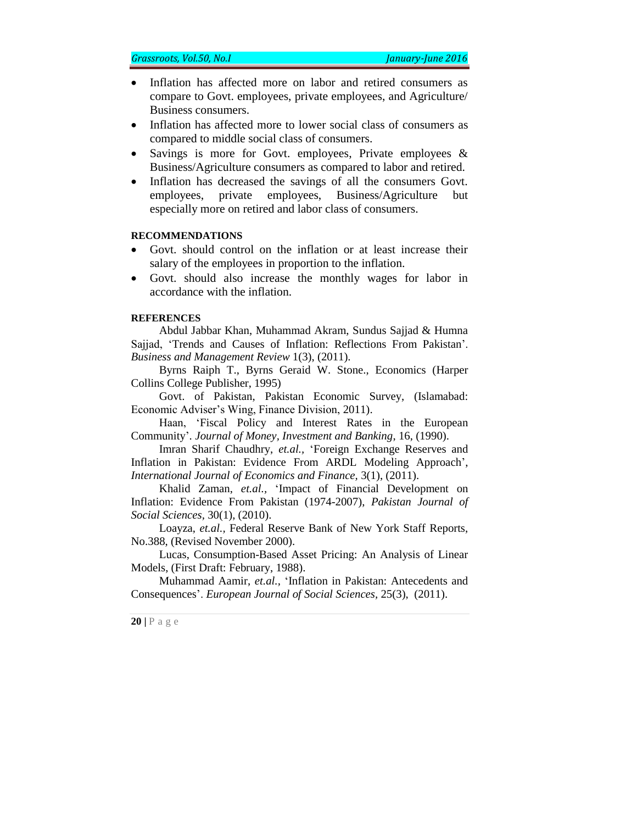- Inflation has affected more on labor and retired consumers as compare to Govt. employees, private employees, and Agriculture/ Business consumers.
- Inflation has affected more to lower social class of consumers as compared to middle social class of consumers.
- Savings is more for Govt. employees, Private employees  $\&$ Business/Agriculture consumers as compared to labor and retired.
- Inflation has decreased the savings of all the consumers Govt. employees, private employees, Business/Agriculture but especially more on retired and labor class of consumers.

### **RECOMMENDATIONS**

- Govt. should control on the inflation or at least increase their salary of the employees in proportion to the inflation.
- Govt. should also increase the monthly wages for labor in accordance with the inflation.

### **REFERENCES**

Abdul Jabbar Khan, Muhammad Akram, Sundus Sajjad & Humna Sajjad, 'Trends and Causes of Inflation: Reflections From Pakistan'. *Business and Management Review* 1(3), (2011).

Byrns Raiph T., Byrns Geraid W. Stone., Economics (Harper Collins College Publisher, 1995)

Govt. of Pakistan, Pakistan Economic Survey, (Islamabad: Economic Adviser's Wing, Finance Division, 2011).

Haan, 'Fiscal Policy and Interest Rates in the European Community'*. Journal of Money, Investment and Banking*, 16, (1990).

Imran Sharif Chaudhry, *et.al.,* 'Foreign Exchange Reserves and Inflation in Pakistan: Evidence From ARDL Modeling Approach', *International Journal of Economics and Finance,* 3(1), (2011).

Khalid Zaman, *et.al.,* 'Impact of Financial Development on Inflation: Evidence From Pakistan (1974-2007), *Pakistan Journal of Social Sciences,* 30(1), (2010).

Loayza, *et.al.,* Federal Reserve Bank of New York Staff Reports, No.388, (Revised November 2000).

Lucas, Consumption-Based Asset Pricing: An Analysis of Linear Models, (First Draft: February, 1988).

Muhammad Aamir, *et.al.,* 'Inflation in Pakistan: Antecedents and Consequences'. *European Journal of Social Sciences,* 25(3), (2011).